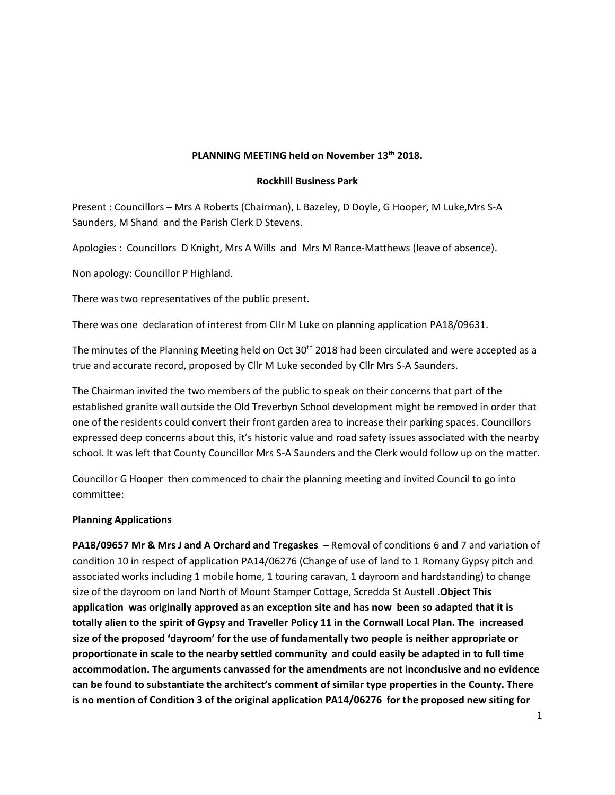# **PLANNING MEETING held on November 13th 2018.**

#### **Rockhill Business Park**

Present : Councillors – Mrs A Roberts (Chairman), L Bazeley, D Doyle, G Hooper, M Luke,Mrs S-A Saunders, M Shand and the Parish Clerk D Stevens.

Apologies : Councillors D Knight, Mrs A Wills and Mrs M Rance-Matthews (leave of absence).

Non apology: Councillor P Highland.

There was two representatives of the public present.

There was one declaration of interest from Cllr M Luke on planning application PA18/09631.

The minutes of the Planning Meeting held on Oct 30<sup>th</sup> 2018 had been circulated and were accepted as a true and accurate record, proposed by Cllr M Luke seconded by Cllr Mrs S-A Saunders.

The Chairman invited the two members of the public to speak on their concerns that part of the established granite wall outside the Old Treverbyn School development might be removed in order that one of the residents could convert their front garden area to increase their parking spaces. Councillors expressed deep concerns about this, it's historic value and road safety issues associated with the nearby school. It was left that County Councillor Mrs S-A Saunders and the Clerk would follow up on the matter.

Councillor G Hooper then commenced to chair the planning meeting and invited Council to go into committee:

### **Planning Applications**

**PA18/09657 Mr & Mrs J and A Orchard and Tregaskes** – Removal of conditions 6 and 7 and variation of condition 10 in respect of application PA14/06276 (Change of use of land to 1 Romany Gypsy pitch and associated works including 1 mobile home, 1 touring caravan, 1 dayroom and hardstanding) to change size of the dayroom on land North of Mount Stamper Cottage, Scredda St Austell .**Object This application was originally approved as an exception site and has now been so adapted that it is totally alien to the spirit of Gypsy and Traveller Policy 11 in the Cornwall Local Plan. The increased size of the proposed 'dayroom' for the use of fundamentally two people is neither appropriate or proportionate in scale to the nearby settled community and could easily be adapted in to full time accommodation. The arguments canvassed for the amendments are not inconclusive and no evidence can be found to substantiate the architect's comment of similar type properties in the County. There is no mention of Condition 3 of the original application PA14/06276 for the proposed new siting for**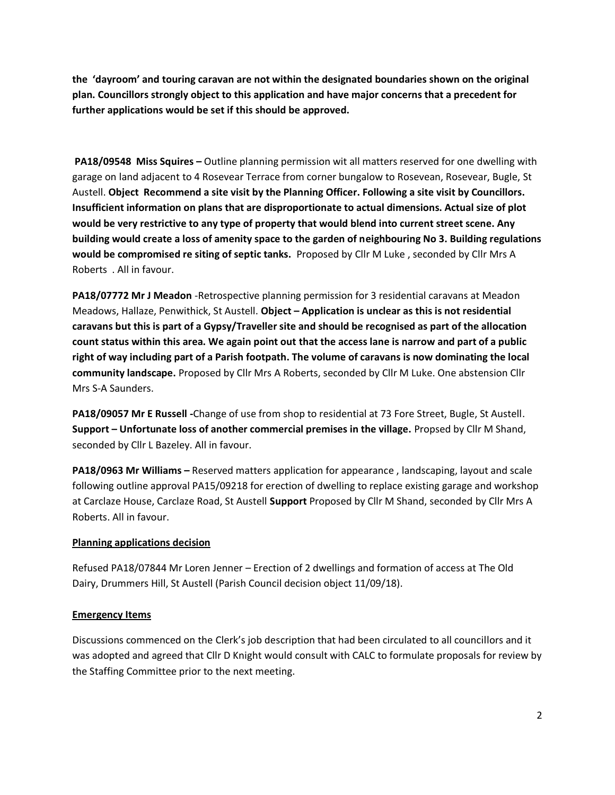**the 'dayroom' and touring caravan are not within the designated boundaries shown on the original plan. Councillors strongly object to this application and have major concerns that a precedent for further applications would be set if this should be approved.**

**PA18/09548 Miss Squires –** Outline planning permission wit all matters reserved for one dwelling with garage on land adjacent to 4 Rosevear Terrace from corner bungalow to Rosevean, Rosevear, Bugle, St Austell. **Object Recommend a site visit by the Planning Officer. Following a site visit by Councillors. Insufficient information on plans that are disproportionate to actual dimensions. Actual size of plot would be very restrictive to any type of property that would blend into current street scene. Any building would create a loss of amenity space to the garden of neighbouring No 3. Building regulations would be compromised re siting of septic tanks.** Proposed by Cllr M Luke , seconded by Cllr Mrs A Roberts . All in favour.

**PA18/07772 Mr J Meadon** -Retrospective planning permission for 3 residential caravans at Meadon Meadows, Hallaze, Penwithick, St Austell. **Object – Application is unclear as this is not residential caravans but this is part of a Gypsy/Traveller site and should be recognised as part of the allocation count status within this area. We again point out that the access lane is narrow and part of a public right of way including part of a Parish footpath. The volume of caravans is now dominating the local community landscape.** Proposed by Cllr Mrs A Roberts, seconded by Cllr M Luke. One abstension Cllr Mrs S-A Saunders.

**PA18/09057 Mr E Russell -**Change of use from shop to residential at 73 Fore Street, Bugle, St Austell. **Support – Unfortunate loss of another commercial premises in the village.** Propsed by Cllr M Shand, seconded by Cllr L Bazeley. All in favour.

**PA18/0963 Mr Williams –** Reserved matters application for appearance , landscaping, layout and scale following outline approval PA15/09218 for erection of dwelling to replace existing garage and workshop at Carclaze House, Carclaze Road, St Austell **Support** Proposed by Cllr M Shand, seconded by Cllr Mrs A Roberts. All in favour.

## **Planning applications decision**

Refused PA18/07844 Mr Loren Jenner – Erection of 2 dwellings and formation of access at The Old Dairy, Drummers Hill, St Austell (Parish Council decision object 11/09/18).

### **Emergency Items**

Discussions commenced on the Clerk's job description that had been circulated to all councillors and it was adopted and agreed that Cllr D Knight would consult with CALC to formulate proposals for review by the Staffing Committee prior to the next meeting.